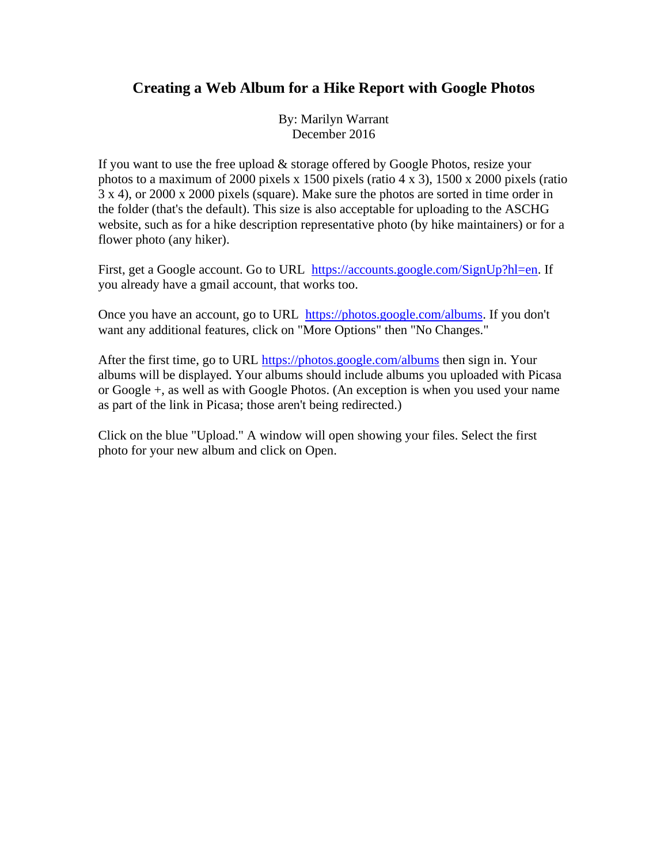## **Creating a Web Album for a Hike Report with Google Photos**

By: Marilyn Warrant December 2016

If you want to use the free upload & storage offered by Google Photos, resize your photos to a maximum of 2000 pixels x 1500 pixels (ratio 4 x 3), 1500 x 2000 pixels (ratio 3 x 4), or 2000 x 2000 pixels (square). Make sure the photos are sorted in time order in the folder (that's the default). This size is also acceptable for uploading to the ASCHG website, such as for a hike description representative photo (by hike maintainers) or for a flower photo (any hiker).

First, get a Google account. Go to URL [https://accounts.google.com/SignUp?hl=en.](https://accounts.google.com/SignUp?hl=en) If you already have a gmail account, that works too.

Once you have an account, go to URL [https://photos.google.com/albums.](https://photos.google.com/albums) If you don't want any additional features, click on "More Options" then "No Changes."

After the first time, go to URL<https://photos.google.com/albums> then sign in. Your albums will be displayed. Your albums should include albums you uploaded with Picasa or Google +, as well as with Google Photos. (An exception is when you used your name as part of the link in Picasa; those aren't being redirected.)

Click on the blue "Upload." A window will open showing your files. Select the first photo for your new album and click on Open.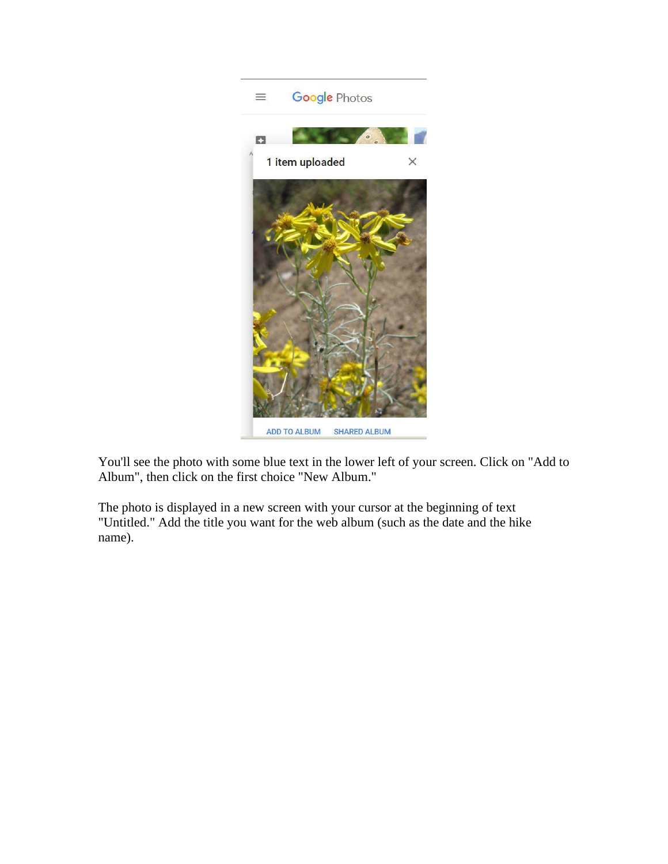

You'll see the photo with some blue text in the lower left of your screen. Click on "Add to Album", then click on the first choice "New Album."

The photo is displayed in a new screen with your cursor at the beginning of text "Untitled." Add the title you want for the web album (such as the date and the hike name).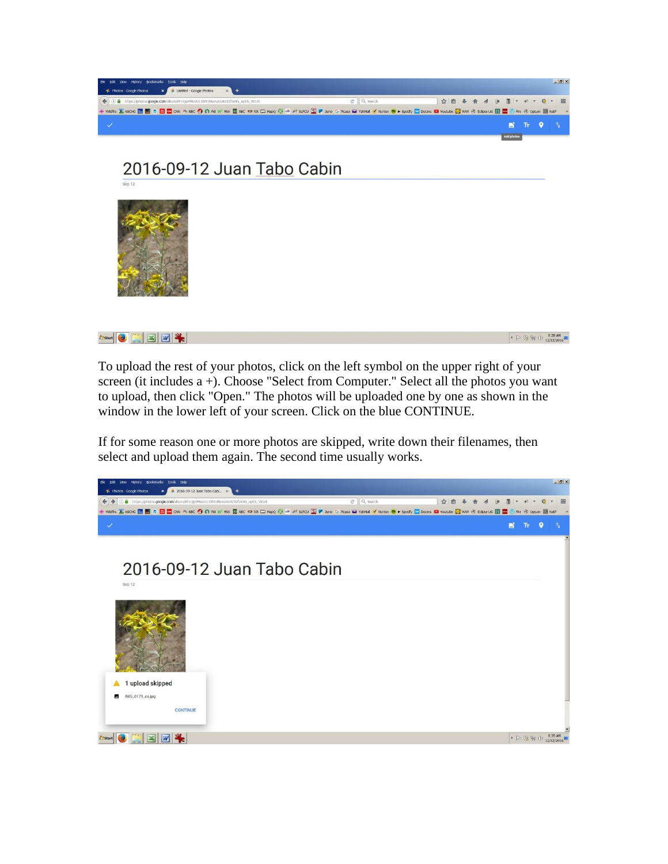

2016-09-12 Juan Tabo Cabin



**Arstart O E E U &** 

 $\begin{array}{|c|c|c|c|c|}\hline \textbf{1} & \textbf{1} & \textbf{1} & \textbf{1} & \textbf{1} & \textbf{1} \\ \hline \textbf{2} & \textbf{1} & \textbf{1} & \textbf{1} & \textbf{1} & \textbf{1} & \textbf{1} \\ \hline \textbf{3} & \textbf{1} & \textbf{1} & \textbf{1} & \textbf{1} & \textbf{1} & \textbf{1} & \textbf{1} \\ \hline \textbf{4} & \textbf{1} & \textbf{1} & \textbf{1} & \textbf{1} & \textbf{1} & \textbf$ 

To upload the rest of your photos, click on the left symbol on the upper right of your screen (it includes a +). Choose "Select from Computer." Select all the photos you want to upload, then click "Open." The photos will be uploaded one by one as shown in the window in the lower left of your screen. Click on the blue CONTINUE.

If for some reason one or more photos are skipped, write down their filenames, then select and upload them again. The second time usually works.

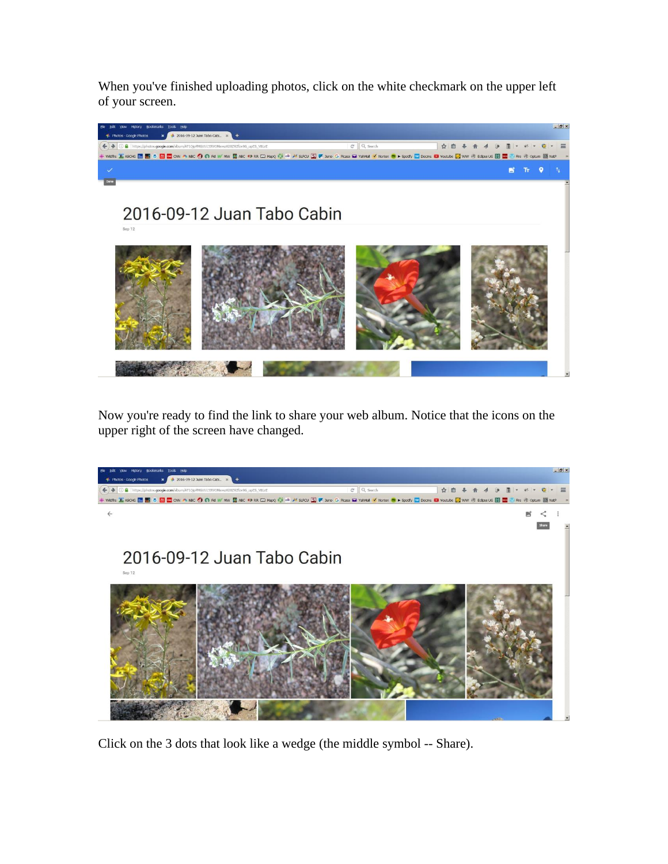When you've finished uploading photos, click on the white checkmark on the upper left of your screen.



Now you're ready to find the link to share your web album. Notice that the icons on the upper right of the screen have changed.



Click on the 3 dots that look like a wedge (the middle symbol -- Share).